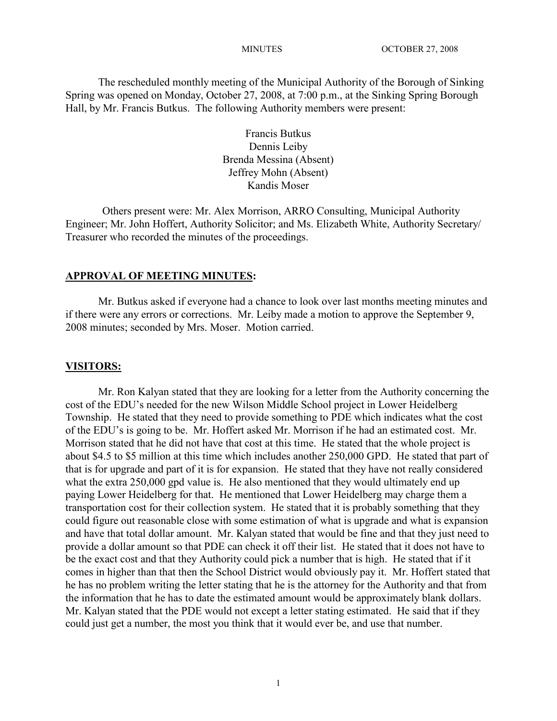The rescheduled monthly meeting of the Municipal Authority of the Borough of Sinking Spring was opened on Monday, October 27, 2008, at 7:00 p.m., at the Sinking Spring Borough Hall, by Mr. Francis Butkus. The following Authority members were present:

> Francis Butkus Dennis Leiby Brenda Messina (Absent) Jeffrey Mohn (Absent) Kandis Moser

Others present were: Mr. Alex Morrison, ARRO Consulting, Municipal Authority Engineer; Mr. John Hoffert, Authority Solicitor; and Ms. Elizabeth White, Authority Secretary/ Treasurer who recorded the minutes of the proceedings.

#### **APPROVAL OF MEETING MINUTES:**

Mr. Butkus asked if everyone had a chance to look over last months meeting minutes and if there were any errors or corrections. Mr. Leiby made a motion to approve the September 9, 2008 minutes; seconded by Mrs. Moser. Motion carried.

#### **VISITORS:**

Mr. Ron Kalyan stated that they are looking for a letter from the Authority concerning the cost of the EDU's needed for the new Wilson Middle School project in Lower Heidelberg Township. He stated that they need to provide something to PDE which indicates what the cost of the EDU's is going to be. Mr. Hoffert asked Mr. Morrison if he had an estimated cost. Mr. Morrison stated that he did not have that cost at this time. He stated that the whole project is about \$4.5 to \$5 million at this time which includes another 250,000 GPD. He stated that part of that is for upgrade and part of it is for expansion. He stated that they have not really considered what the extra 250,000 gpd value is. He also mentioned that they would ultimately end up paying Lower Heidelberg for that. He mentioned that Lower Heidelberg may charge them a transportation cost for their collection system. He stated that it is probably something that they could figure out reasonable close with some estimation of what is upgrade and what is expansion and have that total dollar amount. Mr. Kalyan stated that would be fine and that they just need to provide a dollar amount so that PDE can check it off their list. He stated that it does not have to be the exact cost and that they Authority could pick a number that is high. He stated that if it comes in higher than that then the School District would obviously pay it. Mr. Hoffert stated that he has no problem writing the letter stating that he is the attorney for the Authority and that from the information that he has to date the estimated amount would be approximately blank dollars. Mr. Kalyan stated that the PDE would not except a letter stating estimated. He said that if they could just get a number, the most you think that it would ever be, and use that number.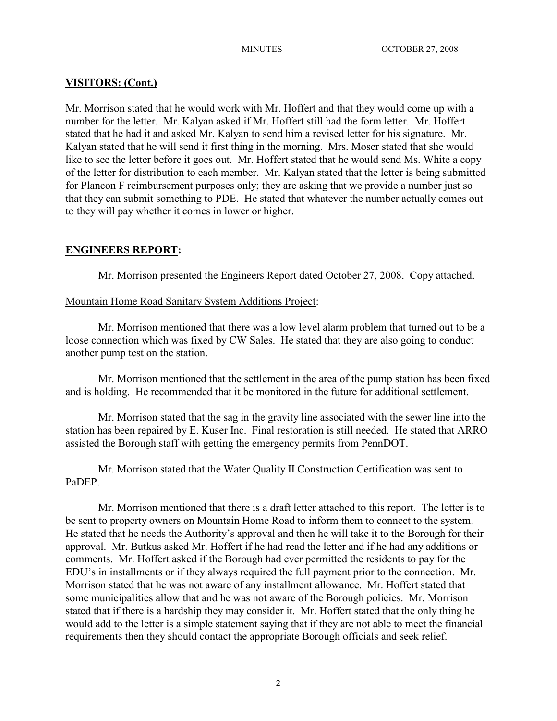# **VISITORS: (Cont.)**

Mr. Morrison stated that he would work with Mr. Hoffert and that they would come up with a number for the letter. Mr. Kalyan asked if Mr. Hoffert still had the form letter. Mr. Hoffert stated that he had it and asked Mr. Kalyan to send him a revised letter for his signature. Mr. Kalyan stated that he will send it first thing in the morning. Mrs. Moser stated that she would like to see the letter before it goes out. Mr. Hoffert stated that he would send Ms. White a copy of the letter for distribution to each member. Mr. Kalyan stated that the letter is being submitted for Plancon F reimbursement purposes only; they are asking that we provide a number just so that they can submit something to PDE. He stated that whatever the number actually comes out to they will pay whether it comes in lower or higher.

# **ENGINEERS REPORT:**

Mr. Morrison presented the Engineers Report dated October 27, 2008. Copy attached.

# Mountain Home Road Sanitary System Additions Project:

Mr. Morrison mentioned that there was a low level alarm problem that turned out to be a loose connection which was fixed by CW Sales. He stated that they are also going to conduct another pump test on the station.

Mr. Morrison mentioned that the settlement in the area of the pump station has been fixed and is holding. He recommended that it be monitored in the future for additional settlement.

Mr. Morrison stated that the sag in the gravity line associated with the sewer line into the station has been repaired by E. Kuser Inc. Final restoration is still needed. He stated that ARRO assisted the Borough staff with getting the emergency permits from PennDOT.

Mr. Morrison stated that the Water Quality II Construction Certification was sent to PaDEP.

Mr. Morrison mentioned that there is a draft letter attached to this report. The letter is to be sent to property owners on Mountain Home Road to inform them to connect to the system. He stated that he needs the Authority's approval and then he will take it to the Borough for their approval. Mr. Butkus asked Mr. Hoffert if he had read the letter and if he had any additions or comments. Mr. Hoffert asked if the Borough had ever permitted the residents to pay for the EDU's in installments or if they always required the full payment prior to the connection. Mr. Morrison stated that he was not aware of any installment allowance. Mr. Hoffert stated that some municipalities allow that and he was not aware of the Borough policies. Mr. Morrison stated that if there is a hardship they may consider it. Mr. Hoffert stated that the only thing he would add to the letter is a simple statement saying that if they are not able to meet the financial requirements then they should contact the appropriate Borough officials and seek relief.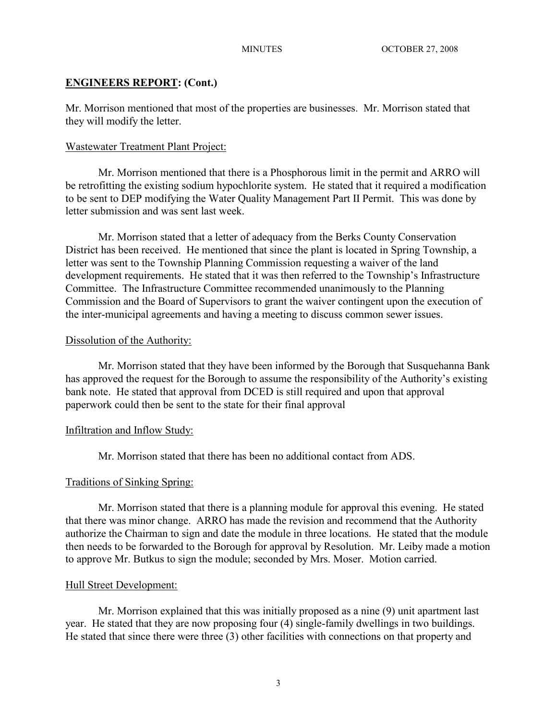## **ENGINEERS REPORT: (Cont.)**

Mr. Morrison mentioned that most of the properties are businesses. Mr. Morrison stated that they will modify the letter.

## Wastewater Treatment Plant Project:

Mr. Morrison mentioned that there is a Phosphorous limit in the permit and ARRO will be retrofitting the existing sodium hypochlorite system. He stated that it required a modification to be sent to DEP modifying the Water Quality Management Part II Permit. This was done by letter submission and was sent last week.

Mr. Morrison stated that a letter of adequacy from the Berks County Conservation District has been received. He mentioned that since the plant is located in Spring Township, a letter was sent to the Township Planning Commission requesting a waiver of the land development requirements. He stated that it was then referred to the Township's Infrastructure Committee. The Infrastructure Committee recommended unanimously to the Planning Commission and the Board of Supervisors to grant the waiver contingent upon the execution of the inter-municipal agreements and having a meeting to discuss common sewer issues.

## Dissolution of the Authority:

Mr. Morrison stated that they have been informed by the Borough that Susquehanna Bank has approved the request for the Borough to assume the responsibility of the Authority's existing bank note. He stated that approval from DCED is still required and upon that approval paperwork could then be sent to the state for their final approval

## Infiltration and Inflow Study:

Mr. Morrison stated that there has been no additional contact from ADS.

#### Traditions of Sinking Spring:

Mr. Morrison stated that there is a planning module for approval this evening. He stated that there was minor change. ARRO has made the revision and recommend that the Authority authorize the Chairman to sign and date the module in three locations. He stated that the module then needs to be forwarded to the Borough for approval by Resolution. Mr. Leiby made a motion to approve Mr. Butkus to sign the module; seconded by Mrs. Moser. Motion carried.

## Hull Street Development:

Mr. Morrison explained that this was initially proposed as a nine (9) unit apartment last year. He stated that they are now proposing four (4) single-family dwellings in two buildings. He stated that since there were three (3) other facilities with connections on that property and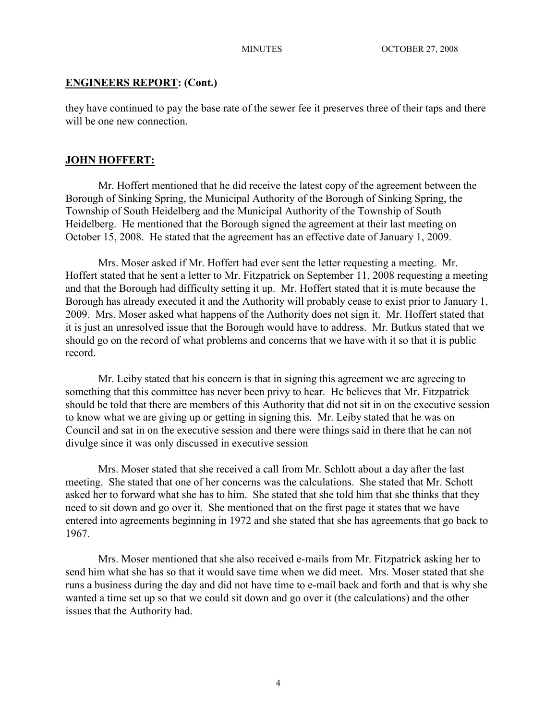## **ENGINEERS REPORT: (Cont.)**

they have continued to pay the base rate of the sewer fee it preserves three of their taps and there will be one new connection.

## **JOHN HOFFERT:**

Mr. Hoffert mentioned that he did receive the latest copy of the agreement between the Borough of Sinking Spring, the Municipal Authority of the Borough of Sinking Spring, the Township of South Heidelberg and the Municipal Authority of the Township of South Heidelberg. He mentioned that the Borough signed the agreement at their last meeting on October 15, 2008. He stated that the agreement has an effective date of January 1, 2009.

Mrs. Moser asked if Mr. Hoffert had ever sent the letter requesting a meeting. Mr. Hoffert stated that he sent a letter to Mr. Fitzpatrick on September 11, 2008 requesting a meeting and that the Borough had difficulty setting it up. Mr. Hoffert stated that it is mute because the Borough has already executed it and the Authority will probably cease to exist prior to January 1, 2009. Mrs. Moser asked what happens of the Authority does not sign it. Mr. Hoffert stated that it is just an unresolved issue that the Borough would have to address. Mr. Butkus stated that we should go on the record of what problems and concerns that we have with it so that it is public record.

Mr. Leiby stated that his concern is that in signing this agreement we are agreeing to something that this committee has never been privy to hear. He believes that Mr. Fitzpatrick should be told that there are members of this Authority that did not sit in on the executive session to know what we are giving up or getting in signing this. Mr. Leiby stated that he was on Council and sat in on the executive session and there were things said in there that he can not divulge since it was only discussed in executive session

Mrs. Moser stated that she received a call from Mr. Schlott about a day after the last meeting. She stated that one of her concerns was the calculations. She stated that Mr. Schott asked her to forward what she has to him. She stated that she told him that she thinks that they need to sit down and go over it. She mentioned that on the first page it states that we have entered into agreements beginning in 1972 and she stated that she has agreements that go back to 1967.

Mrs. Moser mentioned that she also received e-mails from Mr. Fitzpatrick asking her to send him what she has so that it would save time when we did meet. Mrs. Moser stated that she runs a business during the day and did not have time to e-mail back and forth and that is why she wanted a time set up so that we could sit down and go over it (the calculations) and the other issues that the Authority had.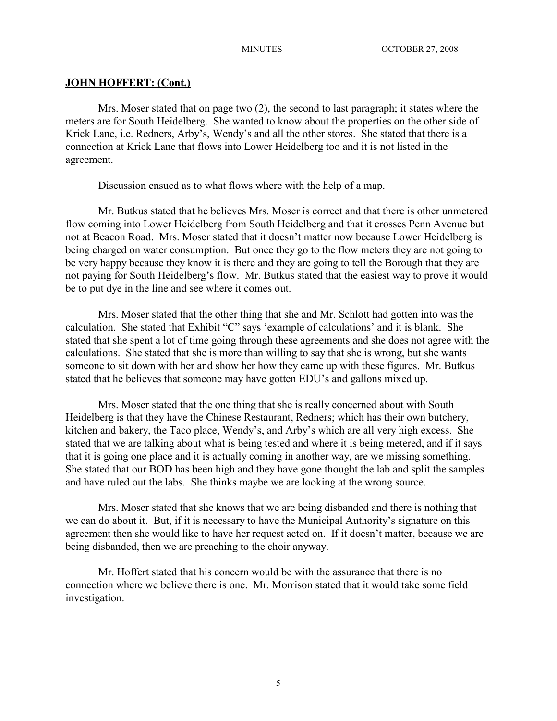## **JOHN HOFFERT: (Cont.)**

Mrs. Moser stated that on page two (2), the second to last paragraph; it states where the meters are for South Heidelberg. She wanted to know about the properties on the other side of Krick Lane, i.e. Redners, Arby's, Wendy's and all the other stores. She stated that there is a connection at Krick Lane that flows into Lower Heidelberg too and it is not listed in the agreement.

Discussion ensued as to what flows where with the help of a map.

Mr. Butkus stated that he believes Mrs. Moser is correct and that there is other unmetered flow coming into Lower Heidelberg from South Heidelberg and that it crosses Penn Avenue but not at Beacon Road. Mrs. Moser stated that it doesn't matter now because Lower Heidelberg is being charged on water consumption. But once they go to the flow meters they are not going to be very happy because they know it is there and they are going to tell the Borough that they are not paying for South Heidelberg's flow. Mr. Butkus stated that the easiest way to prove it would be to put dye in the line and see where it comes out.

Mrs. Moser stated that the other thing that she and Mr. Schlott had gotten into was the calculation. She stated that Exhibit "C" says 'example of calculations' and it is blank. She stated that she spent a lot of time going through these agreements and she does not agree with the calculations. She stated that she is more than willing to say that she is wrong, but she wants someone to sit down with her and show her how they came up with these figures. Mr. Butkus stated that he believes that someone may have gotten EDU's and gallons mixed up.

Mrs. Moser stated that the one thing that she is really concerned about with South Heidelberg is that they have the Chinese Restaurant, Redners; which has their own butchery, kitchen and bakery, the Taco place, Wendy's, and Arby's which are all very high excess. She stated that we are talking about what is being tested and where it is being metered, and if it says that it is going one place and it is actually coming in another way, are we missing something. She stated that our BOD has been high and they have gone thought the lab and split the samples and have ruled out the labs. She thinks maybe we are looking at the wrong source.

Mrs. Moser stated that she knows that we are being disbanded and there is nothing that we can do about it. But, if it is necessary to have the Municipal Authority's signature on this agreement then she would like to have her request acted on. If it doesn't matter, because we are being disbanded, then we are preaching to the choir anyway.

Mr. Hoffert stated that his concern would be with the assurance that there is no connection where we believe there is one. Mr. Morrison stated that it would take some field investigation.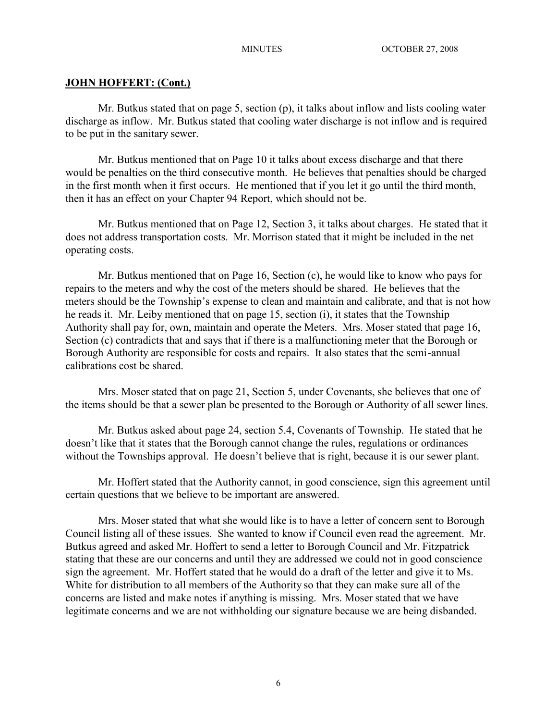# **JOHN HOFFERT: (Cont.)**

Mr. Butkus stated that on page 5, section (p), it talks about inflow and lists cooling water discharge as inflow. Mr. Butkus stated that cooling water discharge is not inflow and is required to be put in the sanitary sewer.

Mr. Butkus mentioned that on Page 10 it talks about excess discharge and that there would be penalties on the third consecutive month. He believes that penalties should be charged in the first month when it first occurs. He mentioned that if you let it go until the third month, then it has an effect on your Chapter 94 Report, which should not be.

Mr. Butkus mentioned that on Page 12, Section 3, it talks about charges. He stated that it does not address transportation costs. Mr. Morrison stated that it might be included in the net operating costs.

Mr. Butkus mentioned that on Page 16, Section (c), he would like to know who pays for repairs to the meters and why the cost of the meters should be shared. He believes that the meters should be the Township's expense to clean and maintain and calibrate, and that is not how he reads it. Mr. Leiby mentioned that on page 15, section (i), it states that the Township Authority shall pay for, own, maintain and operate the Meters. Mrs. Moser stated that page 16, Section (c) contradicts that and says that if there is a malfunctioning meter that the Borough or Borough Authority are responsible for costs and repairs. It also states that the semi-annual calibrations cost be shared.

Mrs. Moser stated that on page 21, Section 5, under Covenants, she believes that one of the items should be that a sewer plan be presented to the Borough or Authority of all sewer lines.

Mr. Butkus asked about page 24, section 5.4, Covenants of Township. He stated that he doesn't like that it states that the Borough cannot change the rules, regulations or ordinances without the Townships approval. He doesn't believe that is right, because it is our sewer plant.

Mr. Hoffert stated that the Authority cannot, in good conscience, sign this agreement until certain questions that we believe to be important are answered.

Mrs. Moser stated that what she would like is to have a letter of concern sent to Borough Council listing all of these issues. She wanted to know if Council even read the agreement. Mr. Butkus agreed and asked Mr. Hoffert to send a letter to Borough Council and Mr. Fitzpatrick stating that these are our concerns and until they are addressed we could not in good conscience sign the agreement. Mr. Hoffert stated that he would do a draft of the letter and give it to Ms. White for distribution to all members of the Authority so that they can make sure all of the concerns are listed and make notes if anything is missing. Mrs. Moser stated that we have legitimate concerns and we are not withholding our signature because we are being disbanded.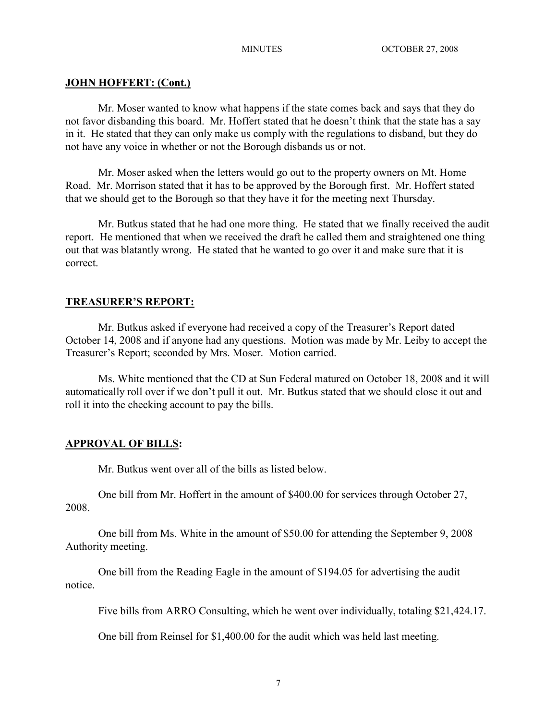# **JOHN HOFFERT: (Cont.)**

Mr. Moser wanted to know what happens if the state comes back and says that they do not favor disbanding this board. Mr. Hoffert stated that he doesn't think that the state has a say in it. He stated that they can only make us comply with the regulations to disband, but they do not have any voice in whether or not the Borough disbands us or not.

Mr. Moser asked when the letters would go out to the property owners on Mt. Home Road. Mr. Morrison stated that it has to be approved by the Borough first. Mr. Hoffert stated that we should get to the Borough so that they have it for the meeting next Thursday.

Mr. Butkus stated that he had one more thing. He stated that we finally received the audit report. He mentioned that when we received the draft he called them and straightened one thing out that was blatantly wrong. He stated that he wanted to go over it and make sure that it is correct.

# **TREASURER'S REPORT:**

Mr. Butkus asked if everyone had received a copy of the Treasurer's Report dated October 14, 2008 and if anyone had any questions. Motion was made by Mr. Leiby to accept the Treasurer's Report; seconded by Mrs. Moser. Motion carried.

Ms. White mentioned that the CD at Sun Federal matured on October 18, 2008 and it will automatically roll over if we don't pull it out. Mr. Butkus stated that we should close it out and roll it into the checking account to pay the bills.

# **APPROVAL OF BILLS:**

Mr. Butkus went over all of the bills as listed below.

One bill from Mr. Hoffert in the amount of \$400.00 for services through October 27, 2008.

One bill from Ms. White in the amount of \$50.00 for attending the September 9, 2008 Authority meeting.

One bill from the Reading Eagle in the amount of \$194.05 for advertising the audit notice.

Five bills from ARRO Consulting, which he went over individually, totaling \$21,424.17.

One bill from Reinsel for \$1,400.00 for the audit which was held last meeting.